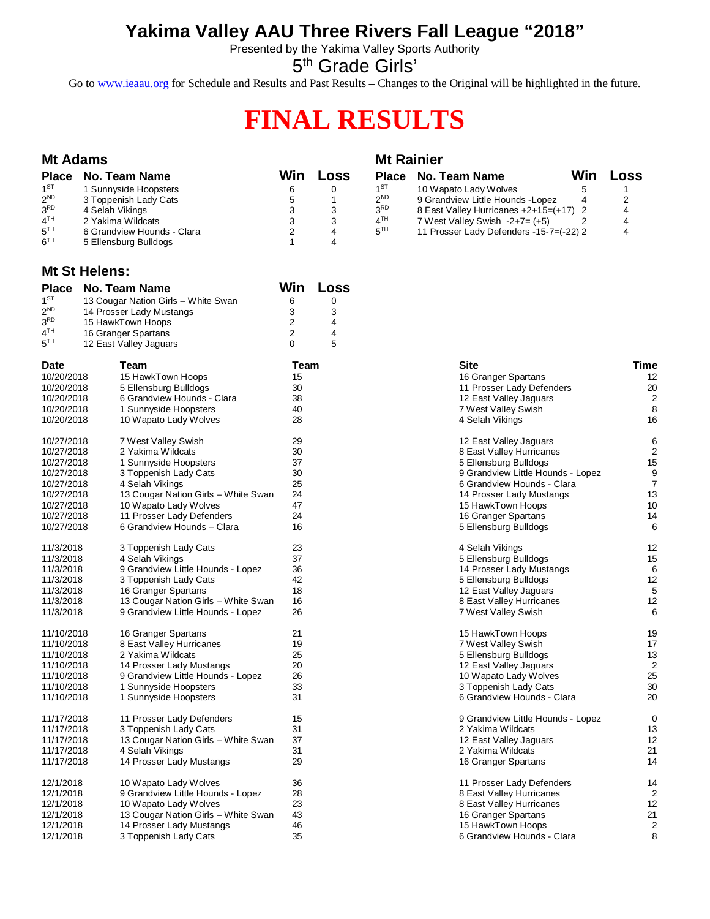## **Yakima Valley AAU Three Rivers Fall League "2018"**

Presented by the Yakima Valley Sports Authority

5<sup>th</sup> Grade Girls'

Go to [www.ieaau.org](http://www.ieaau.org) for Schedule and Results and Past Results – Changes to the Original will be highlighted in the future.

# **FINAL RESULTS**

#### **Mt Adams Mt Rainier Place No. Team Name Win Loss Place No. Team Name Win Loss**  $1^{ST}$ 1 Sunnyside Hoopsters 6 0 1<sup>ST</sup><br>3 Toppenish Lady Cats 6 1 2<sup>ND</sup> 10 Wapato Lady Wolves 5 5 1<br>9 Grandview Little Hounds -Lopez 4 2  $2^{ND}$  $\begin{array}{cccc} 3 \text{ Toppenish } \text{Lady } \text{Cats} & 5 & 1 & 2^{\text{ND}} \\ 4 \text{ Selah } \text{Vikinas} & 3 & 3 & 3^{\text{RD}} \end{array}$ 9 Grandview Little Hounds -Lopez 4 2<br>8 East Valley Hurricanes +2+15=(+17) 2 4  $3<sup>RD</sup>$ RD 4 Selah Vikings 3 3 3  $8$  East Valley Hurricanes  $+2+15=(+17)$  2 4<br>  $7$  West Vallev Swish  $-2+7=(+5)$  2 4  $4<sup>TH</sup>$ 2 Yakima Wildcats<br>  $6$  Grandview Hounds - Clara<br>  $2$   $4$   $5<sup>TH</sup>$ <br>  $2$   $4$   $5<sup>TH</sup>$  $7$  West Valley Swish  $-2+7= (+5)$  2  $5<sup>TH</sup>$ 6 Grandview Hounds - Clara 2 2 4<br>5 Ellensburg Bulldogs 2 1 4 11 Prosser Lady Defenders -15-7=(-22) 2 4  $6^{TH}$ 5 Ellensburg Bulldogs

### **Mt St Helens:**

| <b>Place</b>           | <b>No. Team Name</b>                | Win.           | Loss           |                                   |                |
|------------------------|-------------------------------------|----------------|----------------|-----------------------------------|----------------|
| 1 <sup>ST</sup>        | 13 Cougar Nation Girls - White Swan | 6              | 0              |                                   |                |
| 2 <sup>ND</sup>        | 14 Prosser Lady Mustangs            | 3              | 3              |                                   |                |
| 3 <sup>RD</sup>        | 15 HawkTown Hoops                   | 2              | 4              |                                   |                |
| 4 <sup>TH</sup>        | 16 Granger Spartans                 | $\overline{2}$ | $\overline{4}$ |                                   |                |
| $5^{TH}$               | 12 East Valley Jaguars              | $\Omega$       | 5              |                                   |                |
| <b>Date</b>            | Team                                | Team           |                | Site                              | Time           |
| 10/20/2018             | 15 HawkTown Hoops                   | 15             |                | 16 Granger Spartans               | 12             |
| 10/20/2018             | 5 Ellensburg Bulldogs               | 30             |                | 11 Prosser Lady Defenders         | 20             |
| 10/20/2018             | 6 Grandview Hounds - Clara          | 38             |                | 12 East Valley Jaguars            | $\overline{2}$ |
| 10/20/2018             | 1 Sunnyside Hoopsters               | 40             |                | 7 West Valley Swish               | 8              |
| 10/20/2018             | 10 Wapato Lady Wolves               | 28             |                | 4 Selah Vikings                   | 16             |
| 10/27/2018             | 7 West Valley Swish                 | 29             |                | 12 East Valley Jaguars            | 6              |
| 10/27/2018             | 2 Yakima Wildcats                   | 30             |                | 8 East Valley Hurricanes          | $\overline{c}$ |
| 10/27/2018             | 1 Sunnyside Hoopsters               | 37             |                | 5 Ellensburg Bulldogs             | 15             |
| 10/27/2018             | 3 Toppenish Lady Cats               | 30             |                | 9 Grandview Little Hounds - Lopez | 9              |
| 10/27/2018             | 4 Selah Vikings                     | 25             |                | 6 Grandview Hounds - Clara        | $\overline{7}$ |
| 10/27/2018             | 13 Cougar Nation Girls - White Swan | 24             |                | 14 Prosser Lady Mustangs          | 13             |
| 10/27/2018             | 10 Wapato Lady Wolves               | 47             |                | 15 HawkTown Hoops                 | 10             |
| 10/27/2018             | 11 Prosser Lady Defenders           | 24             |                | 16 Granger Spartans               | 14             |
| 10/27/2018             | 6 Grandview Hounds - Clara          | 16             |                | 5 Ellensburg Bulldogs             | 6              |
| 11/3/2018              | 3 Toppenish Lady Cats               | 23             |                | 4 Selah Vikings                   | 12             |
| 11/3/2018              | 4 Selah Vikings                     | 37             |                | 5 Ellensburg Bulldogs             | 15             |
| 11/3/2018              | 9 Grandview Little Hounds - Lopez   | 36             |                | 14 Prosser Lady Mustangs          | 6              |
| 11/3/2018              | 3 Toppenish Lady Cats               | 42             |                | 5 Ellensburg Bulldogs             | 12             |
| 11/3/2018              | 16 Granger Spartans                 | 18             |                | 12 East Valley Jaguars            | 5              |
| 11/3/2018<br>11/3/2018 | 13 Cougar Nation Girls - White Swan | 16<br>26       |                | 8 East Valley Hurricanes          | 12<br>6        |
|                        | 9 Grandview Little Hounds - Lopez   |                |                | 7 West Valley Swish               |                |
| 11/10/2018             | 16 Granger Spartans                 | 21             |                | 15 HawkTown Hoops                 | 19             |
| 11/10/2018             | 8 East Valley Hurricanes            | 19             |                | 7 West Valley Swish               | 17             |
| 11/10/2018             | 2 Yakima Wildcats                   | 25             |                | 5 Ellensburg Bulldogs             | 13             |
| 11/10/2018             | 14 Prosser Lady Mustangs            | 20             |                | 12 East Valley Jaguars            | $\overline{2}$ |
| 11/10/2018             | 9 Grandview Little Hounds - Lopez   | 26             |                | 10 Wapato Lady Wolves             | 25             |
| 11/10/2018             | 1 Sunnyside Hoopsters               | 33             |                | 3 Toppenish Lady Cats             | 30             |
| 11/10/2018             | 1 Sunnyside Hoopsters               | 31             |                | 6 Grandview Hounds - Clara        | 20             |
| 11/17/2018             | 11 Prosser Lady Defenders           | 15             |                | 9 Grandview Little Hounds - Lopez | $\mathbf 0$    |
| 11/17/2018             | 3 Toppenish Lady Cats               | 31             |                | 2 Yakima Wildcats                 | 13             |
| 11/17/2018             | 13 Cougar Nation Girls - White Swan | 37             |                | 12 East Valley Jaguars            | 12             |
| 11/17/2018             | 4 Selah Vikings                     | 31             |                | 2 Yakima Wildcats                 | 21             |
| 11/17/2018             | 14 Prosser Lady Mustangs            | 29             |                | 16 Granger Spartans               | 14             |
| 12/1/2018              | 10 Wapato Lady Wolves               | 36             |                | 11 Prosser Lady Defenders         | 14             |
| 12/1/2018              | 9 Grandview Little Hounds - Lopez   | 28             |                | 8 East Valley Hurricanes          | 2              |
| 12/1/2018              | 10 Wapato Lady Wolves               | 23             |                | 8 East Valley Hurricanes          | 12             |
| 12/1/2018              | 13 Cougar Nation Girls - White Swan | 43             |                | 16 Granger Spartans               | 21             |
| 12/1/2018              | 14 Prosser Lady Mustangs            | 46             |                | 15 HawkTown Hoops                 | $\overline{c}$ |
| 12/1/2018              | 3 Toppenish Lady Cats               | 35             |                | 6 Grandview Hounds - Clara        | 8              |

| Site                              | Time           |
|-----------------------------------|----------------|
| 16 Granger Spartans               | 12             |
| 11 Prosser Lady Defenders         | 20             |
| 12 East Valley Jaguars            | 2              |
| 7 West Valley Swish               | 8              |
| 4 Selah Vikings                   | 16             |
| 12 East Valley Jaguars            | 6              |
| 8 East Valley Hurricanes          | $\overline{2}$ |
| 5 Ellensburg Bulldogs             | 15             |
| 9 Grandview Little Hounds - Lopez | 9              |
| 6 Grandview Hounds - Clara        | 7              |
| 14 Prosser Lady Mustangs          | 13             |
| 15 HawkTown Hoops                 | 10             |
| 16 Granger Spartans               | 14             |
| 5 Ellensburg Bulldogs             | 6              |
| 4 Selah Vikings                   | 12             |
| 5 Ellensburg Bulldogs             | 15             |
| 14 Prosser Lady Mustangs          | 6              |
| 5 Ellensburg Bulldogs             | 12             |
| 12 East Valley Jaguars            | 5              |
| 8 East Valley Hurricanes          | 12             |
| 7 West Valley Swish               | 6              |
| 15 HawkTown Hoops                 | 19             |
| 7 West Valley Swish               | 17             |
| 5 Ellensburg Bulldogs             | 13             |
| 12 East Valley Jaguars            | 2              |
| 10 Wapato Lady Wolves             | 25             |
| 3 Toppenish Lady Cats             | 30             |
| 6 Grandview Hounds - Clara        | 20             |
| 9 Grandview Little Hounds - Lopez | 0              |
| 2 Yakima Wildcats                 | 13             |
| 12 East Valley Jaguars            | 12             |
| 2 Yakima Wildcats                 | 21             |
| 16 Granger Spartans               | 14             |
| 11 Prosser Lady Defenders         | 14             |
| 8 East Valley Hurricanes          | 2              |
| 8 East Valley Hurricanes          | 12             |
| 16 Granger Spartans               | 21             |
| 15 HawkTown Hoops                 | 2              |
| 6 Grandview Hounds - Clara        | 8              |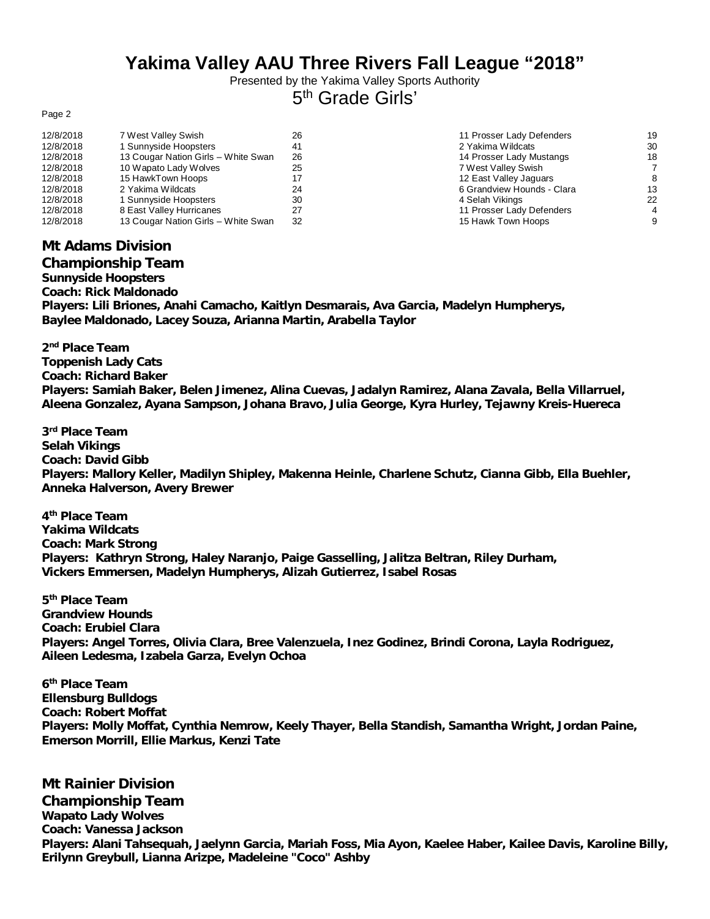## **Yakima Valley AAU Three Rivers Fall League "2018"**

Presented by the Yakima Valley Sports Authority 5<sup>th</sup> Grade Girls'

Page 2

| 12/8/2018<br>7 West Valley Swish<br>26                 | 11 Prosser Lady Defenders  | 19 |
|--------------------------------------------------------|----------------------------|----|
| 12/8/2018<br>1 Sunnyside Hoopsters                     | 2 Yakima Wildcats          | 30 |
| 12/8/2018<br>13 Cougar Nation Girls - White Swan<br>26 | 14 Prosser Lady Mustangs   | 18 |
| 12/8/2018<br>10 Wapato Lady Wolves<br>25               | 7 West Valley Swish        |    |
| 12/8/2018<br>15 HawkTown Hoops                         | 12 East Valley Jaguars     |    |
| 12/8/2018<br>2 Yakima Wildcats<br>24                   | 6 Grandview Hounds - Clara | 13 |
| 12/8/2018<br>1 Sunnyside Hoopsters<br>30               | 4 Selah Vikings            | 22 |
| 12/8/2018<br>8 East Valley Hurricanes                  | 11 Prosser Lady Defenders  | 4  |
| 12/8/2018<br>13 Cougar Nation Girls - White Swan<br>32 | 15 Hawk Town Hoops         |    |

| 1 Prosser Lady Defenders   |
|----------------------------|
| : Yakima Wildcats          |
| 4 Prosser Lady Mustangs    |
| ' West Valley Swish        |
| 2 East Valley Jaguars      |
| i Grandview Hounds - Clara |
| l Selah Vikings            |
| 1 Prosser Lady Defenders   |
| 5 Hawk Town Hoops          |

## **Mt Adams Division**

**Championship Team Sunnyside Hoopsters Coach: Rick Maldonado Players: Lili Briones, Anahi Camacho, Kaitlyn Desmarais, Ava Garcia, Madelyn Humpherys, Baylee Maldonado, Lacey Souza, Arianna Martin, Arabella Taylor**

**2 nd Place Team Toppenish Lady Cats Coach: Richard Baker Players: Samiah Baker, Belen Jimenez, Alina Cuevas, Jadalyn Ramirez, Alana Zavala, Bella Villarruel, Aleena Gonzalez, Ayana Sampson, Johana Bravo, Julia George, Kyra Hurley, Tejawny Kreis-Huereca**

**3 rd Place Team Selah Vikings Coach: David Gibb Players: Mallory Keller, Madilyn Shipley, Makenna Heinle, Charlene Schutz, Cianna Gibb, Ella Buehler, Anneka Halverson, Avery Brewer**

**4 th Place Team Yakima Wildcats Coach: Mark Strong Players: Kathryn Strong, Haley Naranjo, Paige Gasselling, Jalitza Beltran, Riley Durham, Vickers Emmersen, Madelyn Humpherys, Alizah Gutierrez, Isabel Rosas**

**5 th Place Team Grandview Hounds Coach: Erubiel Clara Players: Angel Torres, Olivia Clara, Bree Valenzuela, Inez Godinez, Brindi Corona, Layla Rodriguez, Aileen Ledesma, Izabela Garza, Evelyn Ochoa**

**6 th Place Team Ellensburg Bulldogs Coach: Robert Moffat Players: Molly Moffat, Cynthia Nemrow, Keely Thayer, Bella Standish, Samantha Wright, Jordan Paine, Emerson Morrill, Ellie Markus, Kenzi Tate**

**Mt Rainier Division Championship Team Wapato Lady Wolves Coach: Vanessa Jackson Players: Alani Tahsequah, Jaelynn Garcia, Mariah Foss, Mia Ayon, Kaelee Haber, Kailee Davis, Karoline Billy, Erilynn Greybull, Lianna Arizpe, Madeleine "Coco" Ashby**